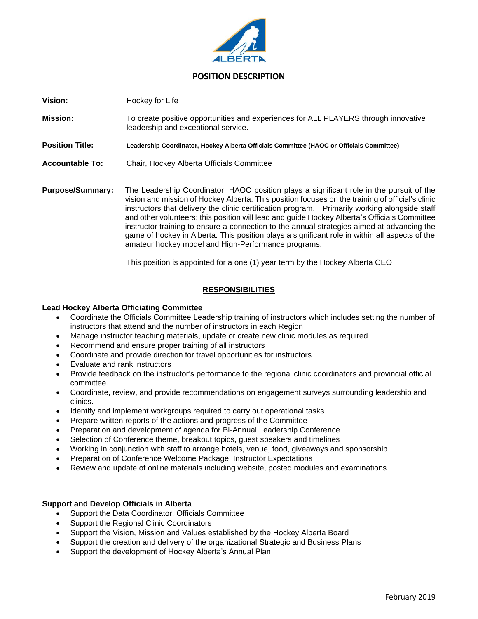

# **POSITION DESCRIPTION**

**Vision:** Hockey for Life **Mission:** To create positive opportunities and experiences for ALL PLAYERS through innovative leadership and exceptional service. **Position Title: Leadership Coordinator, Hockey Alberta Officials Committee (HAOC or Officials Committee) Accountable To:** Chair, Hockey Alberta Officials Committee **Purpose/Summary:** The Leadership Coordinator, HAOC position plays a significant role in the pursuit of the vision and mission of Hockey Alberta. This position focuses on the training of official's clinic instructors that delivery the clinic certification program. Primarily working alongside staff and other volunteers; this position will lead and guide Hockey Alberta's Officials Committee instructor training to ensure a connection to the annual strategies aimed at advancing the game of hockey in Alberta. This position plays a significant role in within all aspects of the amateur hockey model and High-Performance programs.

This position is appointed for a one (1) year term by the Hockey Alberta CEO

## **RESPONSIBILITIES**

#### **Lead Hockey Alberta Officiating Committee**

- Coordinate the Officials Committee Leadership training of instructors which includes setting the number of instructors that attend and the number of instructors in each Region
- Manage instructor teaching materials, update or create new clinic modules as required
- Recommend and ensure proper training of all instructors
- Coordinate and provide direction for travel opportunities for instructors
- Evaluate and rank instructors
- Provide feedback on the instructor's performance to the regional clinic coordinators and provincial official committee.
- Coordinate, review, and provide recommendations on engagement surveys surrounding leadership and clinics.
- Identify and implement workgroups required to carry out operational tasks
- Prepare written reports of the actions and progress of the Committee
- Preparation and development of agenda for Bi-Annual Leadership Conference
- Selection of Conference theme, breakout topics, guest speakers and timelines
- Working in conjunction with staff to arrange hotels, venue, food, giveaways and sponsorship
- Preparation of Conference Welcome Package, Instructor Expectations
- Review and update of online materials including website, posted modules and examinations

#### **Support and Develop Officials in Alberta**

- Support the Data Coordinator, Officials Committee
- Support the Regional Clinic Coordinators
- Support the Vision, Mission and Values established by the Hockey Alberta Board
- Support the creation and delivery of the organizational Strategic and Business Plans
- Support the development of Hockey Alberta's Annual Plan